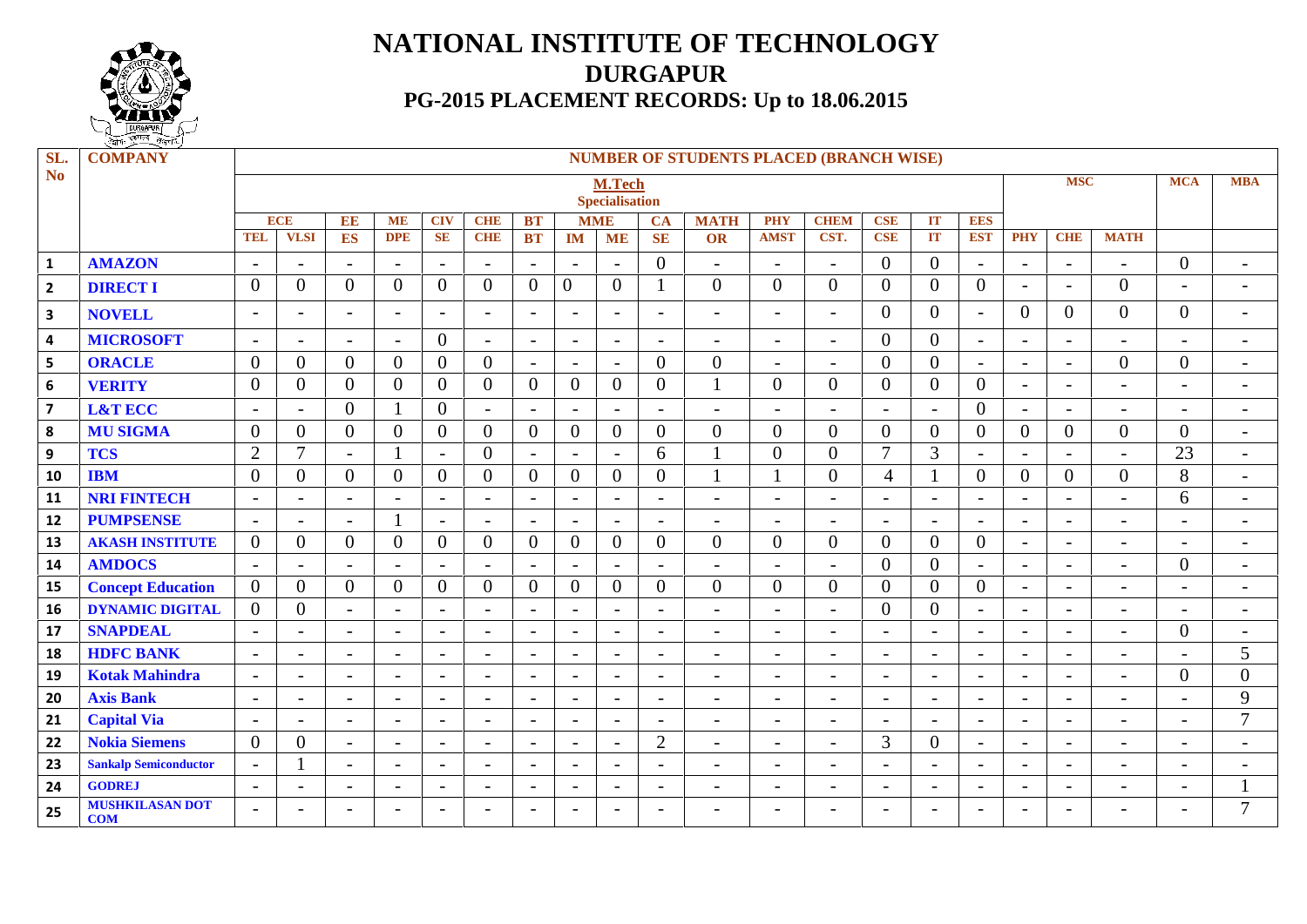

## **NATIONAL INSTITUTE OF TECHNOLOGY DURGAPUR PG-2015 PLACEMENT RECORDS: Up to 18.06.2015**

| SL.<br><b>No</b>        | <b>COMPANY</b>                       |                                                   |                          |                          |                          |                          |                          |                          |                          |                          |                          | <b>NUMBER OF STUDENTS PLACED (BRANCH WISE)</b> |                           |                          |                          |                          |                          |                          |                          |                          |                          |                          |
|-------------------------|--------------------------------------|---------------------------------------------------|--------------------------|--------------------------|--------------------------|--------------------------|--------------------------|--------------------------|--------------------------|--------------------------|--------------------------|------------------------------------------------|---------------------------|--------------------------|--------------------------|--------------------------|--------------------------|--------------------------|--------------------------|--------------------------|--------------------------|--------------------------|
|                         |                                      | <b>MSC</b><br>M.Tech                              |                          |                          |                          |                          |                          |                          |                          |                          |                          |                                                |                           |                          |                          |                          | <b>MCA</b>               | <b>MBA</b>               |                          |                          |                          |                          |
|                         |                                      | <b>Specialisation</b><br><b>ECE</b><br><b>MME</b> |                          |                          |                          |                          |                          |                          |                          |                          |                          |                                                |                           |                          |                          |                          |                          |                          |                          |                          |                          |                          |
|                         |                                      | <b>TEL</b>                                        | <b>VLSI</b>              | EE<br>ES                 | <b>ME</b><br><b>DPE</b>  | <b>CIV</b><br><b>SE</b>  | <b>CHE</b><br><b>CHE</b> | <b>BT</b><br><b>BT</b>   | <b>IM</b>                | <b>ME</b>                | <b>CA</b><br><b>SE</b>   | <b>MATH</b><br><b>OR</b>                       | <b>PHY</b><br><b>AMST</b> | <b>CHEM</b><br>CST.      | <b>CSE</b><br><b>CSE</b> | IT<br>IT                 | <b>EES</b><br><b>EST</b> | <b>PHY</b>               | <b>CHE</b>               | <b>MATH</b>              |                          |                          |
|                         |                                      |                                                   |                          |                          |                          |                          |                          |                          |                          |                          |                          |                                                |                           |                          |                          |                          |                          |                          |                          |                          |                          |                          |
| $\mathbf{1}$            | <b>AMAZON</b>                        |                                                   | $\overline{\phantom{a}}$ | $\overline{\phantom{a}}$ | $\overline{\phantom{a}}$ | $\overline{a}$           | $\overline{\phantom{a}}$ | $\overline{\phantom{a}}$ | $\overline{\phantom{a}}$ | ۰                        | $\overline{0}$           | $\overline{\phantom{a}}$                       | $\qquad \qquad -$         | $\overline{\phantom{a}}$ | $\overline{0}$           | $\overline{0}$           |                          | $\overline{\phantom{0}}$ | $\overline{\phantom{a}}$ | $\overline{\phantom{a}}$ | $\overline{0}$           | $\overline{\phantom{a}}$ |
| $\overline{2}$          | <b>DIRECT I</b>                      | $\overline{0}$                                    | $\overline{0}$           | $\overline{0}$           | $\overline{0}$           | $\theta$                 | $\overline{0}$           | $\overline{0}$           | $\overline{0}$           | $\overline{0}$           | $\mathbf{1}$             | $\overline{0}$                                 | $\Omega$                  | $\overline{0}$           | $\overline{0}$           | $\overline{0}$           | $\overline{0}$           | $\overline{\phantom{a}}$ | $\sim$                   | $\overline{0}$           | $\overline{\phantom{0}}$ | $\overline{\phantom{a}}$ |
| $\overline{\mathbf{3}}$ | <b>NOVELL</b>                        | $\overline{\phantom{0}}$                          | $\overline{\phantom{a}}$ | $\sim$                   | $\overline{\phantom{a}}$ | $\blacksquare$           | $-$                      | $\overline{\phantom{a}}$ | $\overline{\phantom{a}}$ | $\overline{\phantom{a}}$ | $\overline{a}$           | $\blacksquare$                                 | $\blacksquare$            | $\overline{\phantom{0}}$ | $\Omega$                 | $\overline{0}$           | $\overline{\phantom{a}}$ | $\theta$                 | $\Omega$                 | $\overline{0}$           | $\overline{0}$           | $\overline{\phantom{a}}$ |
| $\overline{\mathbf{4}}$ | <b>MICROSOFT</b>                     | $\overline{\phantom{a}}$                          | $\overline{\phantom{a}}$ | $\overline{\phantom{a}}$ | $\overline{\phantom{a}}$ | $\theta$                 | $\sim$                   | $\overline{\phantom{a}}$ | $\overline{\phantom{a}}$ | $\overline{\phantom{a}}$ | $\overline{a}$           | $\overline{a}$                                 | $\blacksquare$            | $\overline{\phantom{0}}$ | $\Omega$                 | $\overline{0}$           | $\overline{\phantom{a}}$ | $\overline{\phantom{a}}$ | $\sim$                   | $\blacksquare$           | $\overline{\phantom{0}}$ | $\overline{\phantom{a}}$ |
| 5                       | <b>ORACLE</b>                        | $\theta$                                          | $\overline{0}$           | $\mathbf{0}$             | $\overline{0}$           | $\overline{0}$           | $\mathbf{0}$             | $\overline{\phantom{a}}$ | $\sim$                   | $\overline{\phantom{a}}$ | $\overline{0}$           | $\Omega$                                       | $\equiv$                  | $\overline{\phantom{0}}$ | $\Omega$                 | $\overline{0}$           | $\overline{\phantom{a}}$ | $\overline{\phantom{a}}$ | $\blacksquare$           | $\overline{0}$           | $\overline{0}$           | $\overline{\phantom{a}}$ |
| 6                       | <b>VERITY</b>                        | $\overline{0}$                                    | $\overline{0}$           | $\overline{0}$           | $\Omega$                 | $\theta$                 | $\mathbf{0}$             | $\overline{0}$           | $\overline{0}$           | $\overline{0}$           | $\overline{0}$           | $\mathbf{1}$                                   | $\Omega$                  | $\overline{0}$           | $\Omega$                 | $\overline{0}$           | $\overline{0}$           | $\overline{\phantom{a}}$ | $\overline{\phantom{0}}$ | $\overline{\phantom{0}}$ | $\overline{\phantom{0}}$ | $\overline{\phantom{a}}$ |
| $\overline{\mathbf{z}}$ | <b>L&amp;T ECC</b>                   |                                                   | $\overline{\phantom{a}}$ | $\mathbf{0}$             |                          | $\overline{0}$           | $-$                      |                          | $\overline{\phantom{a}}$ | $\overline{\phantom{0}}$ | $\overline{\phantom{a}}$ | $\overline{\phantom{0}}$                       | $\overline{\phantom{0}}$  | $\overline{\phantom{a}}$ | $\overline{\phantom{a}}$ | $\overline{\phantom{a}}$ | $\overline{0}$           | $\overline{\phantom{0}}$ | $\overline{\phantom{0}}$ | $\overline{\phantom{a}}$ |                          | $\overline{\phantom{0}}$ |
| 8                       | <b>MU SIGMA</b>                      | $\theta$                                          | $\overline{0}$           | $\mathbf{0}$             | $\overline{0}$           | $\theta$                 | $\mathbf{0}$             | $\overline{0}$           | $\overline{0}$           | $\boldsymbol{0}$         | $\mathbf{0}$             | $\overline{0}$                                 | $\overline{0}$            | $\boldsymbol{0}$         | $\overline{0}$           | $\overline{0}$           | $\overline{0}$           | $\overline{0}$           | $\overline{0}$           | $\overline{0}$           | $\overline{0}$           | $\overline{\phantom{a}}$ |
| $\boldsymbol{9}$        | <b>TCS</b>                           | $\overline{2}$                                    | $\overline{7}$           | $\overline{\phantom{a}}$ |                          | $\overline{\phantom{a}}$ | $\overline{0}$           | $\overline{\phantom{a}}$ | $\overline{\phantom{a}}$ | $\overline{\phantom{a}}$ | 6                        |                                                | $\Omega$                  | $\boldsymbol{0}$         | $\overline{7}$           | 3                        | $\overline{\phantom{a}}$ | $\overline{\phantom{a}}$ | $\overline{\phantom{0}}$ | $\overline{\phantom{a}}$ | 23                       | $\overline{\phantom{a}}$ |
| 10                      | <b>IBM</b>                           | $\boldsymbol{0}$                                  | $\overline{0}$           | $\overline{0}$           | $\overline{0}$           | $\boldsymbol{0}$         | $\overline{0}$           | $\theta$                 | $\overline{0}$           | $\boldsymbol{0}$         | $\mathbf{0}$             |                                                |                           | $\boldsymbol{0}$         | $\overline{4}$           |                          | $\overline{0}$           | $\overline{0}$           | $\overline{0}$           | $\overline{0}$           | 8                        | $\sim$                   |
| 11                      | <b>NRI FINTECH</b>                   | $\overline{\phantom{a}}$                          | $\overline{\phantom{a}}$ | $\overline{\phantom{a}}$ | $\overline{\phantom{a}}$ | $\overline{\phantom{a}}$ | $\blacksquare$           | $\overline{\phantom{a}}$ | $\overline{\phantom{a}}$ | $\overline{\phantom{a}}$ | $\overline{\phantom{0}}$ | $\blacksquare$                                 | $\overline{\phantom{a}}$  | $\overline{\phantom{a}}$ | $\overline{\phantom{a}}$ | $\overline{\phantom{a}}$ | $\overline{\phantom{a}}$ | $\overline{\phantom{a}}$ | $\blacksquare$           | $\overline{\phantom{a}}$ | 6                        | $\overline{\phantom{a}}$ |
| 12                      | <b>PUMPSENSE</b>                     | $\overline{\phantom{a}}$                          | $\overline{\phantom{a}}$ | $\overline{\phantom{a}}$ |                          | $\overline{\phantom{a}}$ | $\overline{\phantom{a}}$ | $\overline{\phantom{a}}$ | $\overline{\phantom{a}}$ | $\overline{\phantom{a}}$ | $\equiv$                 | $\overline{\phantom{a}}$                       | $\blacksquare$            | $\overline{\phantom{a}}$ | $\overline{\phantom{a}}$ | $\blacksquare$           | $\overline{\phantom{a}}$ | $\overline{\phantom{a}}$ | $\overline{\phantom{a}}$ | $\blacksquare$           | $\overline{\phantom{0}}$ | $\overline{\phantom{a}}$ |
| 13                      | <b>AKASH INSTITUTE</b>               | $\overline{0}$                                    | $\overline{0}$           | $\mathbf{0}$             | $\overline{0}$           | $\overline{0}$           | $\mathbf{0}$             | $\overline{0}$           | $\overline{0}$           | $\overline{0}$           | $\overline{0}$           | $\theta$                                       | $\theta$                  | $\mathbf{0}$             | $\overline{0}$           | $\overline{0}$           | $\overline{0}$           | $\overline{\phantom{a}}$ | $\overline{a}$           | $\overline{\phantom{0}}$ | $\overline{\phantom{0}}$ | $\overline{\phantom{a}}$ |
| 14                      | <b>AMDOCS</b>                        | $\overline{\phantom{a}}$                          | $\overline{\phantom{a}}$ | $\overline{\phantom{0}}$ | $\overline{\phantom{a}}$ | $\overline{\phantom{0}}$ | $\blacksquare$           |                          | $\overline{\phantom{a}}$ | $\overline{\phantom{0}}$ | $\blacksquare$           | $\overline{\phantom{a}}$                       | $\overline{\phantom{0}}$  | $\blacksquare$           | $\overline{0}$           | $\overline{0}$           |                          | $\overline{\phantom{a}}$ | $\blacksquare$           | $\overline{\phantom{a}}$ | $\theta$                 | $\overline{\phantom{a}}$ |
| 15                      | <b>Concept Education</b>             | $\overline{0}$                                    | $\overline{0}$           | $\mathbf{0}$             | $\overline{0}$           | $\mathbf{0}$             | $\boldsymbol{0}$         | $\overline{0}$           | $\overline{0}$           | $\boldsymbol{0}$         | $\overline{0}$           | $\mathbf{0}$                                   | $\overline{0}$            | $\overline{0}$           | $\overline{0}$           | $\overline{0}$           | $\overline{0}$           | $\overline{\phantom{a}}$ | $\overline{a}$           | $\overline{\phantom{a}}$ | $\overline{\phantom{0}}$ | $\overline{\phantom{a}}$ |
| 16                      | <b>DYNAMIC DIGITAL</b>               | $\overline{0}$                                    | $\overline{0}$           | $\overline{\phantom{0}}$ | $\overline{a}$           | $\overline{\phantom{a}}$ | $\overline{a}$           |                          | $\overline{\phantom{a}}$ | $\overline{\phantom{0}}$ | $\overline{\phantom{a}}$ | $\blacksquare$                                 | $\overline{\phantom{0}}$  | $\overline{\phantom{0}}$ | $\overline{0}$           | $\overline{0}$           | $\overline{\phantom{0}}$ | $\overline{\phantom{a}}$ | $\overline{\phantom{0}}$ | $\overline{\phantom{0}}$ | $\overline{\phantom{0}}$ | $\overline{\phantom{0}}$ |
| 17                      | <b>SNAPDEAL</b>                      | $\sim$                                            | $\overline{\phantom{a}}$ | $\sim$                   | $\overline{\phantom{a}}$ | $\overline{\phantom{a}}$ | $\sim$                   | $\overline{\phantom{a}}$ | $\sim$                   | $\overline{\phantom{a}}$ | $ \,$                    | $\overline{\phantom{a}}$                       | $\overline{\phantom{a}}$  | $\overline{\phantom{a}}$ | $\overline{\phantom{a}}$ | $\overline{\phantom{a}}$ | $\overline{\phantom{a}}$ | $\overline{\phantom{a}}$ | $\sim$                   | $\overline{\phantom{a}}$ | $\overline{0}$           | $\overline{\phantom{a}}$ |
| 18                      | <b>HDFC BANK</b>                     | $\sim$                                            | $\blacksquare$           | $\overline{\phantom{a}}$ | $\overline{\phantom{a}}$ | $\overline{\phantom{a}}$ | $\blacksquare$           | $\overline{\phantom{a}}$ | $-$                      | $\overline{\phantom{a}}$ | $\overline{a}$           | $\equiv$                                       | $\equiv$                  | $\overline{\phantom{0}}$ | $\overline{\phantom{a}}$ | $\blacksquare$           | $\overline{\phantom{a}}$ | $\overline{\phantom{a}}$ | $\sim$                   | $\overline{\phantom{0}}$ | $\overline{\phantom{0}}$ | $5\overline{)}$          |
| 19                      | <b>Kotak Mahindra</b>                | $\overline{\phantom{a}}$                          | $\overline{\phantom{a}}$ | $\sim$                   | $\sim$                   | $\overline{\phantom{a}}$ | $\overline{\phantom{a}}$ | $\overline{\phantom{a}}$ | $\overline{\phantom{a}}$ | $\overline{\phantom{a}}$ | $\overline{\phantom{0}}$ | $\overline{\phantom{a}}$                       | $\sim$                    | $\overline{\phantom{0}}$ | $\overline{\phantom{a}}$ | $\overline{\phantom{a}}$ | $\overline{\phantom{a}}$ | $\overline{\phantom{a}}$ | $\overline{\phantom{a}}$ | $\overline{\phantom{a}}$ | $\theta$                 | $\overline{0}$           |
| 20                      | <b>Axis Bank</b>                     | $\overline{\phantom{a}}$                          | $\overline{\phantom{a}}$ | $\blacksquare$           | $\overline{\phantom{a}}$ | $\overline{\phantom{a}}$ | $\overline{\phantom{a}}$ | $\overline{\phantom{a}}$ | $\overline{\phantom{a}}$ | $\overline{\phantom{a}}$ | $\overline{\phantom{0}}$ | $\overline{\phantom{a}}$                       | $\sim$                    | $\overline{\phantom{a}}$ | $\overline{\phantom{a}}$ | $\overline{\phantom{a}}$ | $\overline{\phantom{a}}$ | $\overline{\phantom{a}}$ | $\overline{\phantom{a}}$ | $\overline{\phantom{a}}$ | $\overline{\phantom{0}}$ | 9                        |
| 21                      | <b>Capital Via</b>                   | $\overline{\phantom{a}}$                          | $\overline{\phantom{a}}$ | $\sim$                   | $\overline{\phantom{a}}$ | $\overline{\phantom{0}}$ | $\blacksquare$           | $\overline{\phantom{a}}$ | $\overline{\phantom{a}}$ |                          | $ \,$                    | $\overline{\phantom{a}}$                       | $\overline{\phantom{a}}$  | $\overline{\phantom{a}}$ | $\overline{\phantom{a}}$ | $\overline{\phantom{a}}$ | $\overline{\phantom{a}}$ | $\overline{\phantom{a}}$ | $\overline{\phantom{a}}$ | $\overline{\phantom{a}}$ |                          | $\overline{7}$           |
| 22                      | <b>Nokia Siemens</b>                 | $\mathbf{0}$                                      | $\overline{0}$           | $\overline{\phantom{a}}$ | $\overline{\phantom{a}}$ | $\overline{\phantom{a}}$ | $\blacksquare$           |                          | $\blacksquare$           | ۰                        | $\overline{2}$           | $\overline{\phantom{a}}$                       | $\overline{\phantom{a}}$  | $\overline{\phantom{a}}$ | 3                        | $\overline{0}$           |                          | $\overline{\phantom{a}}$ | $\blacksquare$           | $\overline{\phantom{a}}$ | $\overline{\phantom{a}}$ | $\overline{\phantom{a}}$ |
| 23                      | <b>Sankalp Semiconductor</b>         | $\overline{\phantom{a}}$                          | 1                        | $\overline{\phantom{a}}$ | $\overline{\phantom{a}}$ | $\overline{\phantom{0}}$ | $\blacksquare$           | $\overline{\phantom{a}}$ | $\overline{\phantom{a}}$ | $\overline{\phantom{0}}$ | $\overline{\phantom{a}}$ | $\overline{\phantom{a}}$                       | $\overline{\phantom{a}}$  | $\overline{\phantom{a}}$ |                          | $\overline{\phantom{a}}$ | $\overline{\phantom{0}}$ | $\overline{\phantom{a}}$ | $\overline{\phantom{a}}$ | $\overline{\phantom{a}}$ | $\overline{\phantom{0}}$ | $\overline{\phantom{a}}$ |
| 24                      | <b>GODREJ</b>                        | $\overline{\phantom{a}}$                          | $\overline{\phantom{a}}$ | $\sim$                   | $\sim$                   | $\overline{\phantom{a}}$ | $\sim$                   | $\overline{\phantom{a}}$ | $\overline{\phantom{a}}$ | $\overline{\phantom{a}}$ | $\overline{\phantom{a}}$ | $\blacksquare$                                 | $\overline{\phantom{0}}$  | $\overline{\phantom{a}}$ | $\overline{\phantom{a}}$ | $\overline{\phantom{a}}$ | $\overline{\phantom{a}}$ | $\overline{\phantom{0}}$ | $\sim$                   | $\overline{\phantom{a}}$ | $\overline{\phantom{0}}$ |                          |
| 25                      | <b>MUSHKILASAN DOT</b><br><b>COM</b> | $\overline{\phantom{0}}$                          |                          | $\overline{\phantom{0}}$ | $\overline{\phantom{0}}$ | $\overline{\phantom{0}}$ | $\overline{\phantom{0}}$ | $\overline{\phantom{0}}$ | $\overline{\phantom{a}}$ | $\overline{\phantom{a}}$ | $\overline{\phantom{a}}$ | $\overline{a}$                                 | $\overline{\phantom{0}}$  | $\overline{\phantom{0}}$ | $\overline{\phantom{0}}$ | $\overline{\phantom{0}}$ | $\overline{\phantom{0}}$ | $\overline{\phantom{0}}$ | $\overline{\phantom{0}}$ | $\overline{\phantom{0}}$ |                          | $\overline{7}$           |